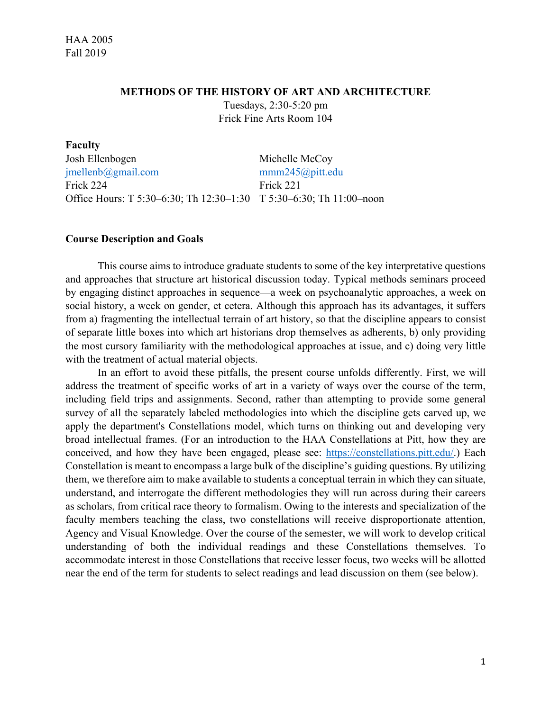**aculty** 

#### **METHODS OF THE HISTORY OF ART AND ARCHITECTURE**

Tuesdays, 2:30-5:20 pm Frick Fine Arts Room 104

| r acuity                                                            |                |
|---------------------------------------------------------------------|----------------|
| Josh Ellenbogen                                                     | Michelle McCoy |
| $j$ mellenb $\omega$ gmail.com                                      | mm245@pitt.edu |
| Frick 224                                                           | Frick 221      |
| Office Hours: T 5:30–6:30; Th 12:30–1:30 T 5:30–6:30; Th 11:00–noon |                |

#### **Course Description and Goals**

This course aims to introduce graduate students to some of the key interpretative questions and approaches that structure art historical discussion today. Typical methods seminars proceed by engaging distinct approaches in sequence—a week on psychoanalytic approaches, a week on social history, a week on gender, et cetera. Although this approach has its advantages, it suffers from a) fragmenting the intellectual terrain of art history, so that the discipline appears to consist of separate little boxes into which art historians drop themselves as adherents, b) only providing the most cursory familiarity with the methodological approaches at issue, and c) doing very little with the treatment of actual material objects.

In an effort to avoid these pitfalls, the present course unfolds differently. First, we will address the treatment of specific works of art in a variety of ways over the course of the term, including field trips and assignments. Second, rather than attempting to provide some general survey of all the separately labeled methodologies into which the discipline gets carved up, we apply the department's Constellations model, which turns on thinking out and developing very broad intellectual frames. (For an introduction to the HAA Constellations at Pitt, how they are conceived, and how they have been engaged, please see: https://constellations.pitt.edu/.) Each Constellation is meant to encompass a large bulk of the discipline's guiding questions. By utilizing them, we therefore aim to make available to students a conceptual terrain in which they can situate, understand, and interrogate the different methodologies they will run across during their careers as scholars, from critical race theory to formalism. Owing to the interests and specialization of the faculty members teaching the class, two constellations will receive disproportionate attention, Agency and Visual Knowledge. Over the course of the semester, we will work to develop critical understanding of both the individual readings and these Constellations themselves. To accommodate interest in those Constellations that receive lesser focus, two weeks will be allotted near the end of the term for students to select readings and lead discussion on them (see below).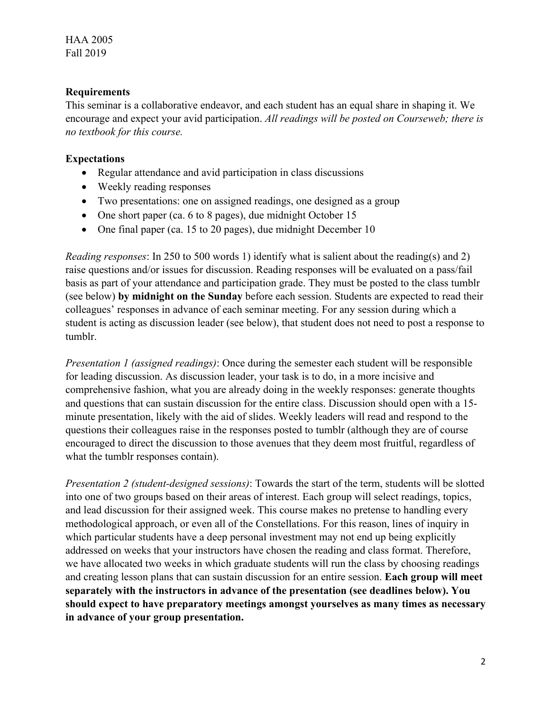## **Requirements**

This seminar is a collaborative endeavor, and each student has an equal share in shaping it. We encourage and expect your avid participation. *All readings will be posted on Courseweb; there is no textbook for this course.* 

# **Expectations**

- Regular attendance and avid participation in class discussions
- Weekly reading responses
- Two presentations: one on assigned readings, one designed as a group
- One short paper (ca. 6 to 8 pages), due midnight October 15
- One final paper (ca. 15 to 20 pages), due midnight December 10

*Reading responses*: In 250 to 500 words 1) identify what is salient about the reading(s) and 2) raise questions and/or issues for discussion. Reading responses will be evaluated on a pass/fail basis as part of your attendance and participation grade. They must be posted to the class tumblr (see below) **by midnight on the Sunday** before each session. Students are expected to read their colleagues' responses in advance of each seminar meeting. For any session during which a student is acting as discussion leader (see below), that student does not need to post a response to tumblr.

*Presentation 1 (assigned readings)*: Once during the semester each student will be responsible for leading discussion. As discussion leader, your task is to do, in a more incisive and comprehensive fashion, what you are already doing in the weekly responses: generate thoughts and questions that can sustain discussion for the entire class. Discussion should open with a 15 minute presentation, likely with the aid of slides. Weekly leaders will read and respond to the questions their colleagues raise in the responses posted to tumblr (although they are of course encouraged to direct the discussion to those avenues that they deem most fruitful, regardless of what the tumblr responses contain).

*Presentation 2 (student-designed sessions)*: Towards the start of the term, students will be slotted into one of two groups based on their areas of interest. Each group will select readings, topics, and lead discussion for their assigned week. This course makes no pretense to handling every methodological approach, or even all of the Constellations. For this reason, lines of inquiry in which particular students have a deep personal investment may not end up being explicitly addressed on weeks that your instructors have chosen the reading and class format. Therefore, we have allocated two weeks in which graduate students will run the class by choosing readings and creating lesson plans that can sustain discussion for an entire session. **Each group will meet separately with the instructors in advance of the presentation (see deadlines below). You should expect to have preparatory meetings amongst yourselves as many times as necessary in advance of your group presentation.**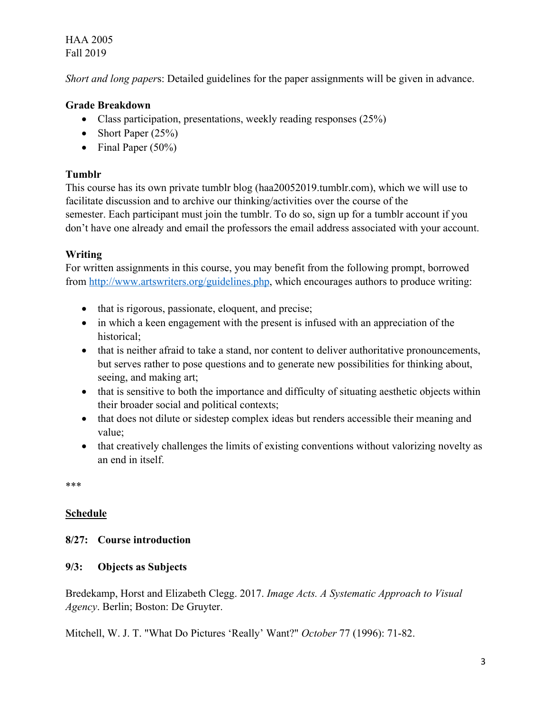HAA 2005 Fall 2019

*Short and long paper*s: Detailed guidelines for the paper assignments will be given in advance.

# **Grade Breakdown**

- Class participation, presentations, weekly reading responses (25%)
- Short Paper  $(25\%)$
- Final Paper  $(50\%)$

## **Tumblr**

This course has its own private tumblr blog (haa20052019.tumblr.com), which we will use to facilitate discussion and to archive our thinking/activities over the course of the semester. Each participant must join the tumblr. To do so, sign up for a tumblr account if you don't have one already and email the professors the email address associated with your account.

# **Writing**

For written assignments in this course, you may benefit from the following prompt, borrowed from http://www.artswriters.org/guidelines.php, which encourages authors to produce writing:

- that is rigorous, passionate, eloquent, and precise;
- in which a keen engagement with the present is infused with an appreciation of the historical;
- that is neither afraid to take a stand, nor content to deliver authoritative pronouncements, but serves rather to pose questions and to generate new possibilities for thinking about, seeing, and making art;
- that is sensitive to both the importance and difficulty of situating aesthetic objects within their broader social and political contexts;
- that does not dilute or sidestep complex ideas but renders accessible their meaning and value;
- that creatively challenges the limits of existing conventions without valorizing novelty as an end in itself.

\*\*\*

## **Schedule**

## **8/27: Course introduction**

## **9/3: Objects as Subjects**

Bredekamp, Horst and Elizabeth Clegg. 2017. *Image Acts. A Systematic Approach to Visual Agency*. Berlin; Boston: De Gruyter.

Mitchell, W. J. T. "What Do Pictures 'Really' Want?" *October* 77 (1996): 71-82.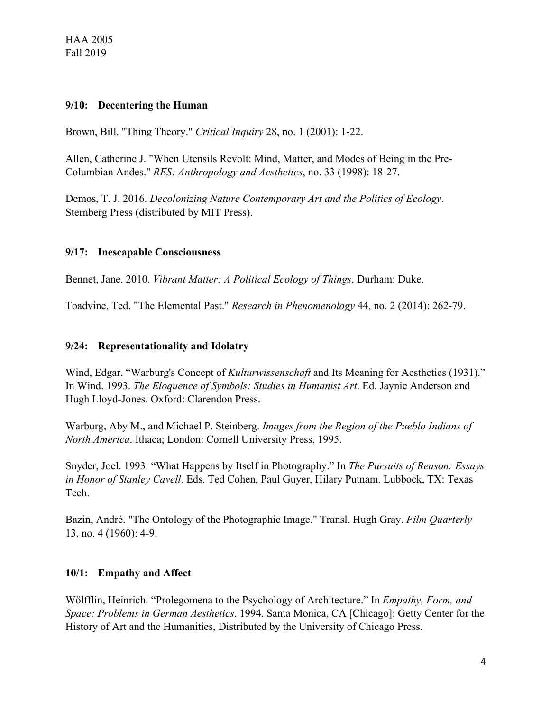### **9/10: Decentering the Human**

Brown, Bill. "Thing Theory." *Critical Inquiry* 28, no. 1 (2001): 1-22.

Allen, Catherine J. "When Utensils Revolt: Mind, Matter, and Modes of Being in the Pre-Columbian Andes." *RES: Anthropology and Aesthetics*, no. 33 (1998): 18-27.

Demos, T. J. 2016. *Decolonizing Nature Contemporary Art and the Politics of Ecology*. Sternberg Press (distributed by MIT Press).

## **9/17: Inescapable Consciousness**

Bennet, Jane. 2010. *Vibrant Matter: A Political Ecology of Things*. Durham: Duke.

Toadvine, Ted. "The Elemental Past." *Research in Phenomenology* 44, no. 2 (2014): 262-79.

### **9/24: Representationality and Idolatry**

Wind, Edgar. "Warburg's Concept of *Kulturwissenschaft* and Its Meaning for Aesthetics (1931)." In Wind. 1993. *The Eloquence of Symbols: Studies in Humanist Art*. Ed. Jaynie Anderson and Hugh Lloyd-Jones. Oxford: Clarendon Press.

Warburg, Aby M., and Michael P. Steinberg. *Images from the Region of the Pueblo Indians of North America*. Ithaca; London: Cornell University Press, 1995.

Snyder, Joel. 1993. "What Happens by Itself in Photography." In *The Pursuits of Reason: Essays in Honor of Stanley Cavell*. Eds. Ted Cohen, Paul Guyer, Hilary Putnam. Lubbock, TX: Texas Tech.

Bazin, André. "The Ontology of the Photographic Image." Transl. Hugh Gray. *Film Quarterly* 13, no. 4 (1960): 4-9.

## **10/1: Empathy and Affect**

Wölfflin, Heinrich. "Prolegomena to the Psychology of Architecture." In *Empathy, Form, and Space: Problems in German Aesthetics*. 1994. Santa Monica, CA [Chicago]: Getty Center for the History of Art and the Humanities, Distributed by the University of Chicago Press.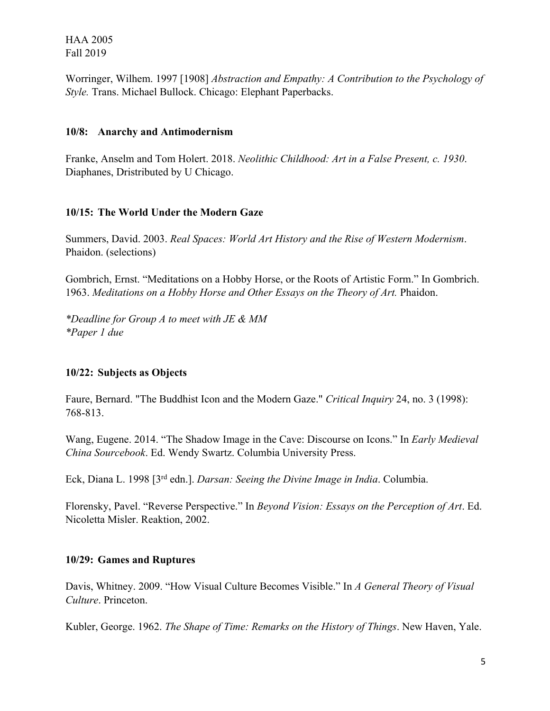HAA 2005 Fall 2019

Worringer, Wilhem. 1997 [1908] *Abstraction and Empathy: A Contribution to the Psychology of Style.* Trans. Michael Bullock. Chicago: Elephant Paperbacks.

### **10/8: Anarchy and Antimodernism**

Franke, Anselm and Tom Holert. 2018. *Neolithic Childhood: Art in a False Present, c. 1930*. Diaphanes, Dristributed by U Chicago.

## **10/15: The World Under the Modern Gaze**

Summers, David. 2003. *Real Spaces: World Art History and the Rise of Western Modernism*. Phaidon. (selections)

Gombrich, Ernst. "Meditations on a Hobby Horse, or the Roots of Artistic Form." In Gombrich. 1963. *Meditations on a Hobby Horse and Other Essays on the Theory of Art.* Phaidon.

*\*Deadline for Group A to meet with JE & MM \*Paper 1 due*

## **10/22: Subjects as Objects**

Faure, Bernard. "The Buddhist Icon and the Modern Gaze." *Critical Inquiry* 24, no. 3 (1998): 768-813.

Wang, Eugene. 2014. "The Shadow Image in the Cave: Discourse on Icons." In *Early Medieval China Sourcebook*. Ed. Wendy Swartz. Columbia University Press.

Eck, Diana L. 1998 [3rd edn.]. *Darsan: Seeing the Divine Image in India*. Columbia.

Florensky, Pavel. "Reverse Perspective." In *Beyond Vision: Essays on the Perception of Art*. Ed. Nicoletta Misler. Reaktion, 2002.

## **10/29: Games and Ruptures**

Davis, Whitney. 2009. "How Visual Culture Becomes Visible." In *A General Theory of Visual Culture*. Princeton.

Kubler, George. 1962. *The Shape of Time: Remarks on the History of Things*. New Haven, Yale.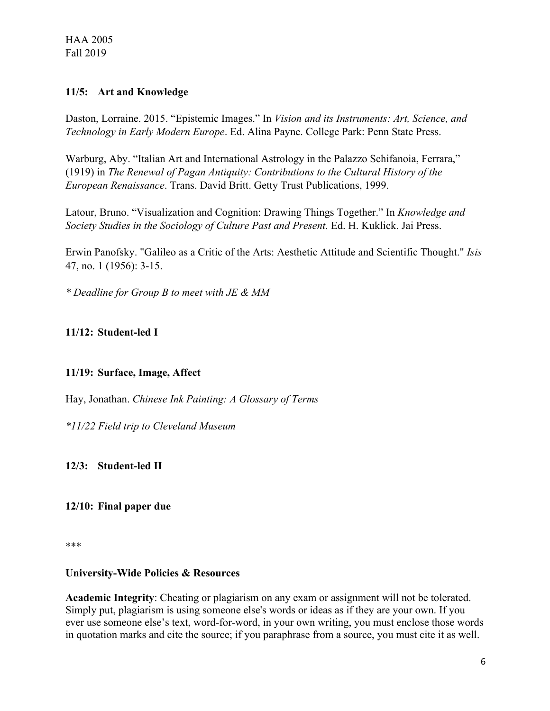### **11/5: Art and Knowledge**

Daston, Lorraine. 2015. "Epistemic Images." In *Vision and its Instruments: Art, Science, and Technology in Early Modern Europe*. Ed. Alina Payne. College Park: Penn State Press.

Warburg, Aby. "Italian Art and International Astrology in the Palazzo Schifanoia, Ferrara," (1919) in *The Renewal of Pagan Antiquity: Contributions to the Cultural History of the European Renaissance*. Trans. David Britt. Getty Trust Publications, 1999.

Latour, Bruno. "Visualization and Cognition: Drawing Things Together." In *Knowledge and Society Studies in the Sociology of Culture Past and Present.* Ed. H. Kuklick. Jai Press.

Erwin Panofsky. "Galileo as a Critic of the Arts: Aesthetic Attitude and Scientific Thought." *Isis* 47, no. 1 (1956): 3-15.

*\* Deadline for Group B to meet with JE & MM*

# **11/12: Student-led I**

## **11/19: Surface, Image, Affect**

Hay, Jonathan. *Chinese Ink Painting: A Glossary of Terms*

*\*11/22 Field trip to Cleveland Museum*

**12/3: Student-led II**

### **12/10: Final paper due**

\*\*\*

### **University-Wide Policies & Resources**

**Academic Integrity**: Cheating or plagiarism on any exam or assignment will not be tolerated. Simply put, plagiarism is using someone else's words or ideas as if they are your own. If you ever use someone else's text, word-for-word, in your own writing, you must enclose those words in quotation marks and cite the source; if you paraphrase from a source, you must cite it as well.